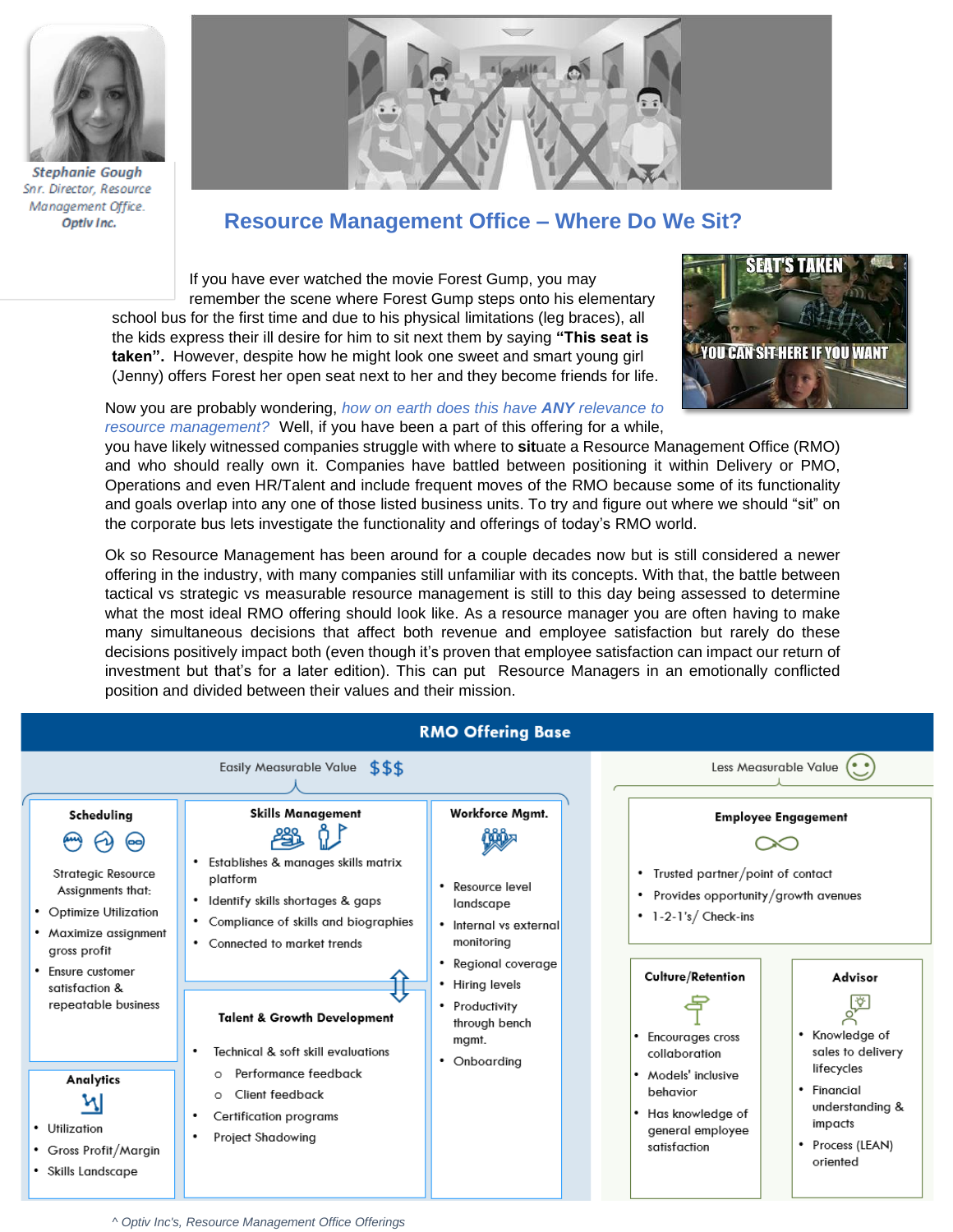

**Stephanie Gough** Snr. Director, Resource Management Office. Optiv Inc.



## **Resource Management Office – Where Do We Sit?**

If you have ever watched the movie Forest Gump, you may remember the scene where Forest Gump steps onto his elementary school bus for the first time and due to his physical limitations (leg braces), all the kids express their ill desire for him to sit next them by saying **"This seat is taken".** However, despite how he might look one sweet and smart young girl (Jenny) offers Forest her open seat next to her and they become friends for life.



## Now you are probably wondering, *how on earth does this have ANY relevance to resource management?* Well, if you have been a part of this offering for a while,

you have likely witnessed companies struggle with where to **sit**uate a Resource Management Office (RMO) and who should really own it. Companies have battled between positioning it within Delivery or PMO, Operations and even HR/Talent and include frequent moves of the RMO because some of its functionality and goals overlap into any one of those listed business units. To try and figure out where we should "sit" on the corporate bus lets investigate the functionality and offerings of today's RMO world.

Ok so Resource Management has been around for a couple decades now but is still considered a newer offering in the industry, with many companies still unfamiliar with its concepts. With that, the battle between tactical vs strategic vs measurable resource management is still to this day being assessed to determine what the most ideal RMO offering should look like. As a resource manager you are often having to make many simultaneous decisions that affect both revenue and employee satisfaction but rarely do these decisions positively impact both (even though it's proven that employee satisfaction can impact our return of investment but that's for a later edition). This can put Resource Managers in an emotionally conflicted position and divided between their values and their mission.